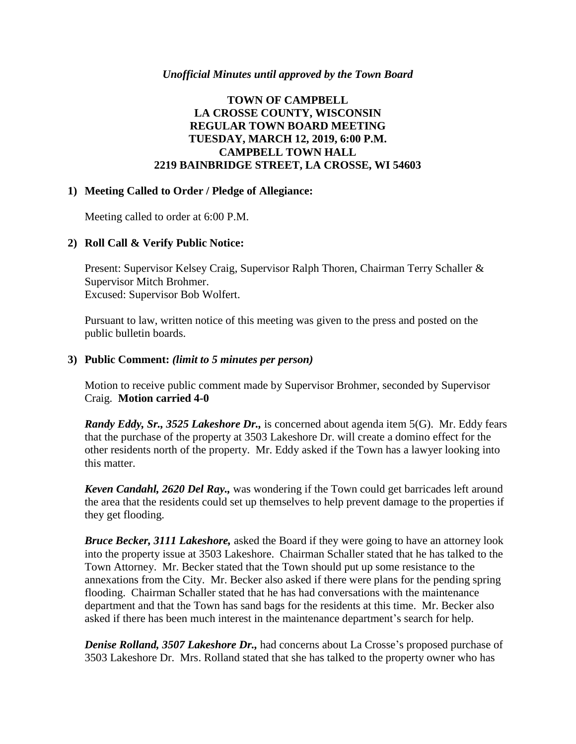#### *Unofficial Minutes until approved by the Town Board*

### **TOWN OF CAMPBELL LA CROSSE COUNTY, WISCONSIN REGULAR TOWN BOARD MEETING TUESDAY, MARCH 12, 2019, 6:00 P.M. CAMPBELL TOWN HALL 2219 BAINBRIDGE STREET, LA CROSSE, WI 54603**

#### **1) Meeting Called to Order / Pledge of Allegiance:**

Meeting called to order at 6:00 P.M.

#### **2) Roll Call & Verify Public Notice:**

Present: Supervisor Kelsey Craig, Supervisor Ralph Thoren, Chairman Terry Schaller & Supervisor Mitch Brohmer. Excused: Supervisor Bob Wolfert.

Pursuant to law, written notice of this meeting was given to the press and posted on the public bulletin boards.

#### **3) Public Comment:** *(limit to 5 minutes per person)*

Motion to receive public comment made by Supervisor Brohmer, seconded by Supervisor Craig. **Motion carried 4-0**

*Randy Eddy, Sr., 3525 Lakeshore Dr.,* is concerned about agenda item 5(G). Mr. Eddy fears that the purchase of the property at 3503 Lakeshore Dr. will create a domino effect for the other residents north of the property. Mr. Eddy asked if the Town has a lawyer looking into this matter.

*Keven Candahl, 2620 Del Ray.,* was wondering if the Town could get barricades left around the area that the residents could set up themselves to help prevent damage to the properties if they get flooding.

*Bruce Becker, 3111 Lakeshore,* asked the Board if they were going to have an attorney look into the property issue at 3503 Lakeshore. Chairman Schaller stated that he has talked to the Town Attorney. Mr. Becker stated that the Town should put up some resistance to the annexations from the City. Mr. Becker also asked if there were plans for the pending spring flooding. Chairman Schaller stated that he has had conversations with the maintenance department and that the Town has sand bags for the residents at this time. Mr. Becker also asked if there has been much interest in the maintenance department's search for help.

*Denise Rolland, 3507 Lakeshore Dr.,* had concerns about La Crosse's proposed purchase of 3503 Lakeshore Dr. Mrs. Rolland stated that she has talked to the property owner who has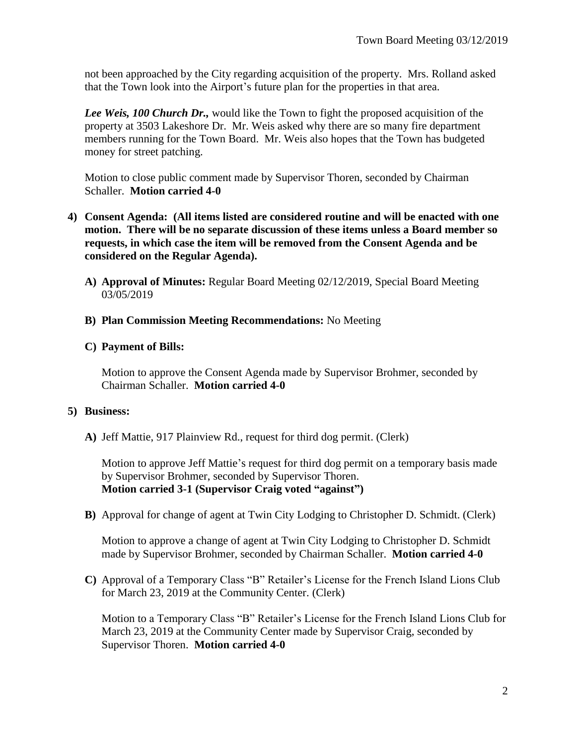not been approached by the City regarding acquisition of the property. Mrs. Rolland asked that the Town look into the Airport's future plan for the properties in that area.

*Lee Weis, 100 Church Dr.,* would like the Town to fight the proposed acquisition of the property at 3503 Lakeshore Dr. Mr. Weis asked why there are so many fire department members running for the Town Board. Mr. Weis also hopes that the Town has budgeted money for street patching.

Motion to close public comment made by Supervisor Thoren, seconded by Chairman Schaller. **Motion carried 4-0**

- **4) Consent Agenda: (All items listed are considered routine and will be enacted with one motion. There will be no separate discussion of these items unless a Board member so requests, in which case the item will be removed from the Consent Agenda and be considered on the Regular Agenda).**
	- **A) Approval of Minutes:** Regular Board Meeting 02/12/2019, Special Board Meeting 03/05/2019
	- **B) Plan Commission Meeting Recommendations:** No Meeting

### **C) Payment of Bills:**

Motion to approve the Consent Agenda made by Supervisor Brohmer, seconded by Chairman Schaller. **Motion carried 4-0**

## **5) Business:**

**A)** Jeff Mattie, 917 Plainview Rd., request for third dog permit. (Clerk)

Motion to approve Jeff Mattie's request for third dog permit on a temporary basis made by Supervisor Brohmer, seconded by Supervisor Thoren. **Motion carried 3-1 (Supervisor Craig voted "against")**

**B)** Approval for change of agent at Twin City Lodging to Christopher D. Schmidt. (Clerk)

Motion to approve a change of agent at Twin City Lodging to Christopher D. Schmidt made by Supervisor Brohmer, seconded by Chairman Schaller. **Motion carried 4-0**

**C)** Approval of a Temporary Class "B" Retailer's License for the French Island Lions Club for March 23, 2019 at the Community Center. (Clerk)

Motion to a Temporary Class "B" Retailer's License for the French Island Lions Club for March 23, 2019 at the Community Center made by Supervisor Craig, seconded by Supervisor Thoren. **Motion carried 4-0**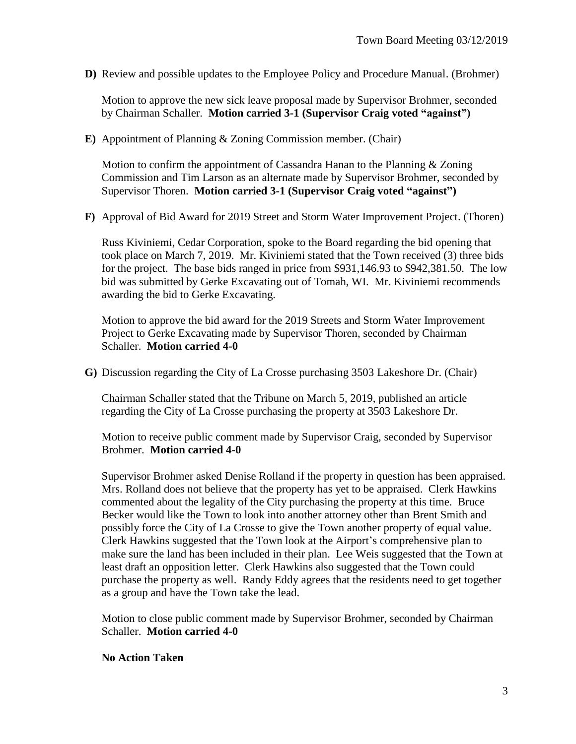**D)** Review and possible updates to the Employee Policy and Procedure Manual. (Brohmer)

Motion to approve the new sick leave proposal made by Supervisor Brohmer, seconded by Chairman Schaller. **Motion carried 3-1 (Supervisor Craig voted "against")** 

**E)** Appointment of Planning & Zoning Commission member. (Chair)

Motion to confirm the appointment of Cassandra Hanan to the Planning & Zoning Commission and Tim Larson as an alternate made by Supervisor Brohmer, seconded by Supervisor Thoren. **Motion carried 3-1 (Supervisor Craig voted "against")**

**F)** Approval of Bid Award for 2019 Street and Storm Water Improvement Project. (Thoren)

Russ Kiviniemi, Cedar Corporation, spoke to the Board regarding the bid opening that took place on March 7, 2019. Mr. Kiviniemi stated that the Town received (3) three bids for the project. The base bids ranged in price from \$931,146.93 to \$942,381.50. The low bid was submitted by Gerke Excavating out of Tomah, WI. Mr. Kiviniemi recommends awarding the bid to Gerke Excavating.

Motion to approve the bid award for the 2019 Streets and Storm Water Improvement Project to Gerke Excavating made by Supervisor Thoren, seconded by Chairman Schaller. **Motion carried 4-0**

**G)** Discussion regarding the City of La Crosse purchasing 3503 Lakeshore Dr. (Chair)

Chairman Schaller stated that the Tribune on March 5, 2019, published an article regarding the City of La Crosse purchasing the property at 3503 Lakeshore Dr.

Motion to receive public comment made by Supervisor Craig, seconded by Supervisor Brohmer. **Motion carried 4-0**

Supervisor Brohmer asked Denise Rolland if the property in question has been appraised. Mrs. Rolland does not believe that the property has yet to be appraised. Clerk Hawkins commented about the legality of the City purchasing the property at this time. Bruce Becker would like the Town to look into another attorney other than Brent Smith and possibly force the City of La Crosse to give the Town another property of equal value. Clerk Hawkins suggested that the Town look at the Airport's comprehensive plan to make sure the land has been included in their plan. Lee Weis suggested that the Town at least draft an opposition letter. Clerk Hawkins also suggested that the Town could purchase the property as well. Randy Eddy agrees that the residents need to get together as a group and have the Town take the lead.

Motion to close public comment made by Supervisor Brohmer, seconded by Chairman Schaller. **Motion carried 4-0**

#### **No Action Taken**